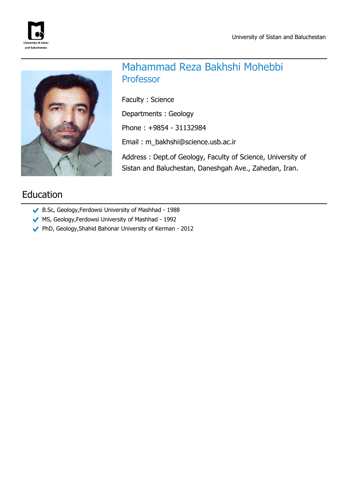



# Mahammad Reza Bakhshi Mohebbi Professor

Faculty : Science

Departments : Geology

Phone : +9854 - 31132984

Email : m\_bakhshi@science.usb.ac.ir

Address : Dept.of Geology, Faculty of Science, University of Sistan and Baluchestan, Daneshgah Ave., Zahedan, Iran.

# Education

- B.Sc, Geology,Ferdowsi University of Mashhad 1988
- MS, Geology,Ferdowsi University of Mashhad 1992
- PhD, Geology,Shahid Bahonar University of Kerman 2012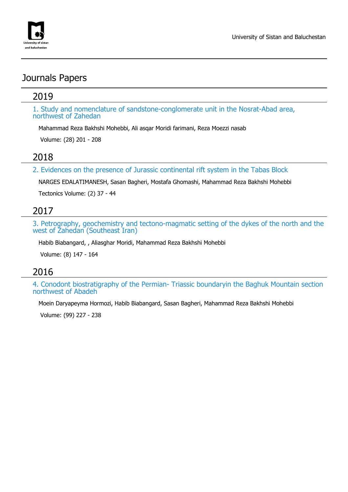

# Journals Papers

### 2019

1. Study and nomenclature of sandstone-conglomerate unit in the Nosrat-Abad area, northwest of Zahedan

Mahammad Reza Bakhshi Mohebbi, Ali asqar Moridi farimani, Reza Moezzi nasab

Volume: (28) 201 - 208

### 2018

2. Evidences on the presence of Jurassic continental rift system in the Tabas Block

NARGES EDALATIMANESH, Sasan Bagheri, Mostafa Ghomashi, Mahammad Reza Bakhshi Mohebbi

Tectonics Volume: (2) 37 - 44

## 2017

3. Petrography, geochemistry and tectono-magmatic setting of the dykes of the north and the west of Zahedan (Southeast Iran)

Habib Biabangard, , Aliasghar Moridi, Mahammad Reza Bakhshi Mohebbi

Volume: (8) 147 - 164

## 2016

4. Conodont biostratigraphy of the Permian- Triassic boundaryin the Baghuk Mountain section northwest of Abadeh

Moein Daryapeyma Hormozi, Habib Biabangard, Sasan Bagheri, Mahammad Reza Bakhshi Mohebbi

Volume: (99) 227 - 238